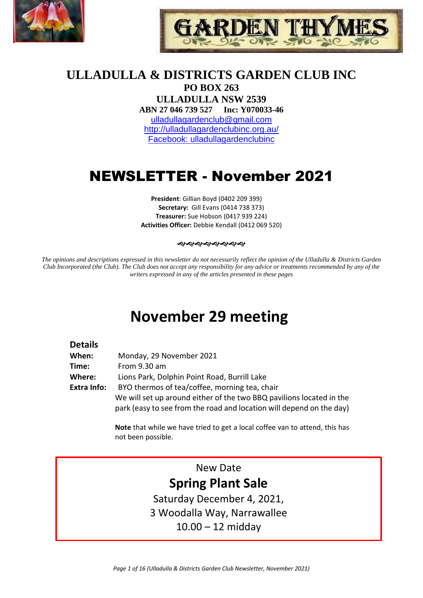



# **ULLADULLA & DISTRICTS GARDEN CLUB INC**

**PO BOX 263 ULLADULLA NSW 2539 ABN 27 046 739 527 Inc: Y070033-46**  [ulladullagardenclub@gmail.com](mailto:ulladullagardenclub@gmail.com) <http://ulladullagardenclubinc.org.au/> Facebook: ulladullagardenclubinc

# NEWSLETTER - November 2021

**President**: Gillian Boyd (0402 209 399) **Secretary:** Gill Evans (0414 738 373) **Treasurer:** Sue Hobson (0417 939 224) **Activities Officer:** Debbie Kendall (0412 069 520)

#### 

*The opinions and descriptions expressed in this newsletter do not necessarily reflect the opinion of the Ulladulla & Districts Garden Club Incorporated (the Club). The Club does not accept any responsibility for any advice or treatments recommended by any of the writers expressed in any of the articles presented in these pages*

# **November 29 meeting**

#### **Details**

| When:       | Monday, 29 November 2021                                             |
|-------------|----------------------------------------------------------------------|
| Time:       | From 9.30 am                                                         |
| Where:      | Lions Park, Dolphin Point Road, Burrill Lake                         |
| Extra Info: | BYO thermos of tea/coffee, morning tea, chair                        |
|             | We will set up around either of the two BBQ pavilions located in the |
|             | park (easy to see from the road and location will depend on the day) |

**Note** that while we have tried to get a local coffee van to attend, this has not been possible.

# New Date **Spring Plant Sale**

Saturday December 4, 2021, 3 Woodalla Way, Narrawallee 10.00 – 12 midday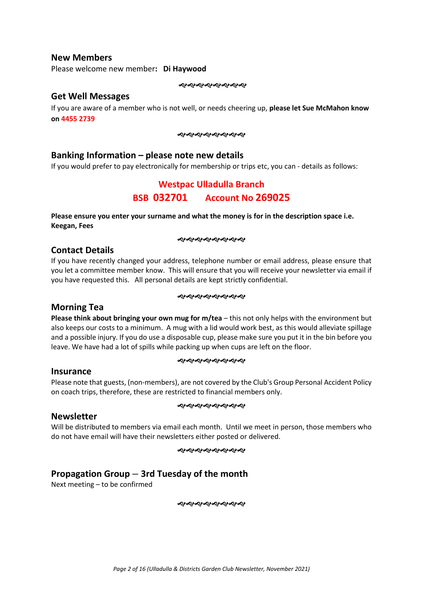#### **New Members**

Please welcome new member**: Di Haywood**

#### **Get Well Messages**

If you are aware of a member who is not well, or needs cheering up, **please let Sue McMahon know on 4455 2739**

#### やややややややや

### **Banking Information – please note new details**

If you would prefer to pay electronically for membership or trips etc, you can - details as follows:

## **Westpac Ulladulla Branch BSB 032701 Account No 269025**

**Please ensure you enter your surname and what the money is for in the description space i.e. Keegan, Fees**

#### やややややややや

#### **Contact Details**

If you have recently changed your address, telephone number or email address, please ensure that you let a committee member know. This will ensure that you will receive your newsletter via email if you have requested this. All personal details are kept strictly confidential.

#### **����������**

#### **Morning Tea**

**Please think about bringing your own mug for m/tea** – this not only helps with the environment but also keeps our costs to a minimum. A mug with a lid would work best, as this would alleviate spillage and a possible injury. If you do use a disposable cup, please make sure you put it in the bin before you leave. We have had a lot of spills while packing up when cups are left on the floor.

#### **����������**

#### **Insurance**

Please note that guests, (non-members), are not covered by the Club's Group Personal Accident Policy on coach trips, therefore, these are restricted to financial members only.

#### **����������**

#### **Newsletter**

Will be distributed to members via email each month. Until we meet in person, those members who do not have email will have their newsletters either posted or delivered.

#### ෯෯෯෯෯෯෯

## **Propagation Group – 3rd Tuesday of the month**

Next meeting – to be confirmed

**ৰ্জ্যৰগুৰ্ব্যৰ্থিত**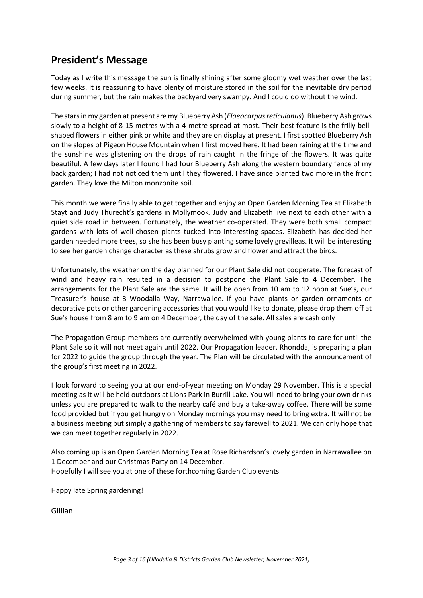# **President's Message**

Today as I write this message the sun is finally shining after some gloomy wet weather over the last few weeks. It is reassuring to have plenty of moisture stored in the soil for the inevitable dry period during summer, but the rain makes the backyard very swampy. And I could do without the wind.

The stars in my garden at present are my Blueberry Ash (*Elaeocarpus reticulanus*). Blueberry Ash grows slowly to a height of 8-15 metres with a 4-metre spread at most. Their best feature is the frilly bellshaped flowers in either pink or white and they are on display at present. I first spotted Blueberry Ash on the slopes of Pigeon House Mountain when I first moved here. It had been raining at the time and the sunshine was glistening on the drops of rain caught in the fringe of the flowers. It was quite beautiful. A few days later I found I had four Blueberry Ash along the western boundary fence of my back garden; I had not noticed them until they flowered. I have since planted two more in the front garden. They love the Milton monzonite soil.

This month we were finally able to get together and enjoy an Open Garden Morning Tea at Elizabeth Stayt and Judy Thurecht's gardens in Mollymook. Judy and Elizabeth live next to each other with a quiet side road in between. Fortunately, the weather co-operated. They were both small compact gardens with lots of well-chosen plants tucked into interesting spaces. Elizabeth has decided her garden needed more trees, so she has been busy planting some lovely grevilleas. It will be interesting to see her garden change character as these shrubs grow and flower and attract the birds.

Unfortunately, the weather on the day planned for our Plant Sale did not cooperate. The forecast of wind and heavy rain resulted in a decision to postpone the Plant Sale to 4 December. The arrangements for the Plant Sale are the same. It will be open from 10 am to 12 noon at Sue's, our Treasurer's house at 3 Woodalla Way, Narrawallee. If you have plants or garden ornaments or decorative pots or other gardening accessories that you would like to donate, please drop them off at Sue's house from 8 am to 9 am on 4 December, the day of the sale. All sales are cash only

The Propagation Group members are currently overwhelmed with young plants to care for until the Plant Sale so it will not meet again until 2022. Our Propagation leader, Rhondda, is preparing a plan for 2022 to guide the group through the year. The Plan will be circulated with the announcement of the group's first meeting in 2022.

I look forward to seeing you at our end-of-year meeting on Monday 29 November. This is a special meeting as it will be held outdoors at Lions Park in Burrill Lake. You will need to bring your own drinks unless you are prepared to walk to the nearby café and buy a take-away coffee. There will be some food provided but if you get hungry on Monday mornings you may need to bring extra. It will not be a business meeting but simply a gathering of members to say farewell to 2021. We can only hope that we can meet together regularly in 2022.

Also coming up is an Open Garden Morning Tea at Rose Richardson's lovely garden in Narrawallee on 1 December and our Christmas Party on 14 December. Hopefully I will see you at one of these forthcoming Garden Club events.

Happy late Spring gardening!

Gillian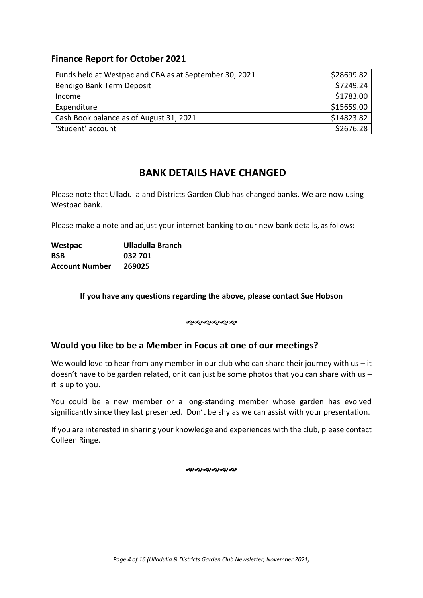## **Finance Report for October 2021**

| Funds held at Westpac and CBA as at September 30, 2021 | \$28699.82 |
|--------------------------------------------------------|------------|
| Bendigo Bank Term Deposit                              | \$7249.24  |
| Income                                                 | \$1783.00  |
| Expenditure                                            | \$15659.00 |
| Cash Book balance as of August 31, 2021                | \$14823.82 |
| 'Student' account                                      | \$2676.28  |

## **BANK DETAILS HAVE CHANGED**

Please note that Ulladulla and Districts Garden Club has changed banks. We are now using Westpac bank.

Please make a note and adjust your internet banking to our new bank details, as follows:

**Westpac Ulladulla Branch BSB 032 701 Account Number 269025**

#### **If you have any questions regarding the above, please contact Sue Hobson**

**��������** 

## **Would you like to be a Member in Focus at one of our meetings?**

We would love to hear from any member in our club who can share their journey with us  $-$  it doesn't have to be garden related, or it can just be some photos that you can share with us – it is up to you.

You could be a new member or a long-standing member whose garden has evolved significantly since they last presented. Don't be shy as we can assist with your presentation.

If you are interested in sharing your knowledge and experiences with the club, please contact Colleen Ringe.

おおおおおや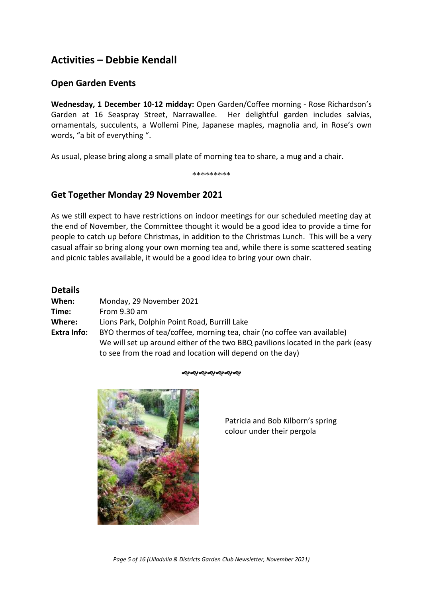# **Activities – Debbie Kendall**

## **Open Garden Events**

**Wednesday, 1 December 10-12 midday:** Open Garden/Coffee morning - Rose Richardson's Garden at 16 Seaspray Street, Narrawallee. Her delightful garden includes salvias, ornamentals, succulents, a Wollemi Pine, Japanese maples, magnolia and, in Rose's own words, "a bit of everything ".

As usual, please bring along a small plate of morning tea to share, a mug and a chair.

\*\*\*\*\*\*\*\*\*

## **Get Together Monday 29 November 2021**

As we still expect to have restrictions on indoor meetings for our scheduled meeting day at the end of November, the Committee thought it would be a good idea to provide a time for people to catch up before Christmas, in addition to the Christmas Lunch. This will be a very casual affair so bring along your own morning tea and, while there is some scattered seating and picnic tables available, it would be a good idea to bring your own chair.

| <b>Details</b>     |                                                                                 |
|--------------------|---------------------------------------------------------------------------------|
| When:              | Monday, 29 November 2021                                                        |
| Time:              | From 9.30 am                                                                    |
| Where:             | Lions Park, Dolphin Point Road, Burrill Lake                                    |
| <b>Extra Info:</b> | BYO thermos of tea/coffee, morning tea, chair (no coffee van available)         |
|                    | We will set up around either of the two BBQ pavilions located in the park (easy |
|                    | to see from the road and location will depend on the day)                       |

#### ઌઌઌઌઌઌઌ



Patricia and Bob Kilborn's spring colour under their pergola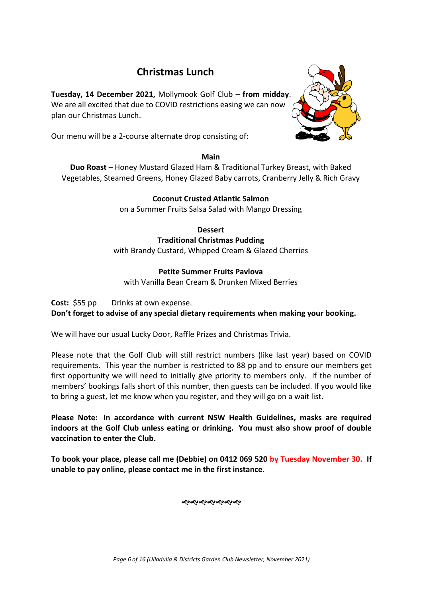# **Christmas Lunch**

**Tuesday, 14 December 2021,** Mollymook Golf Club – **from midday**. We are all excited that due to COVID restrictions easing we can now plan our Christmas Lunch.

Our menu will be a 2-course alternate drop consisting of:

#### **Main**

**Duo Roast** – Honey Mustard Glazed Ham & Traditional Turkey Breast, with Baked Vegetables, Steamed Greens, Honey Glazed Baby carrots, Cranberry Jelly & Rich Gravy

### **Coconut Crusted Atlantic Salmon**

on a Summer Fruits Salsa Salad with Mango Dressing

**Dessert Traditional Christmas Pudding** with Brandy Custard, Whipped Cream & Glazed Cherries

#### **Petite Summer Fruits Pavlova**

with Vanilla Bean Cream & Drunken Mixed Berries

**Cost:** \$55 pp Drinks at own expense.

**Don't forget to advise of any special dietary requirements when making your booking.**

We will have our usual Lucky Door, Raffle Prizes and Christmas Trivia.

Please note that the Golf Club will still restrict numbers (like last year) based on COVID requirements. This year the number is restricted to 88 pp and to ensure our members get first opportunity we will need to initially give priority to members only. If the number of members' bookings falls short of this number, then guests can be included. If you would like to bring a guest, let me know when you register, and they will go on a wait list.

**Please Note: In accordance with current NSW Health Guidelines, masks are required indoors at the Golf Club unless eating or drinking. You must also show proof of double vaccination to enter the Club.**

**To book your place, please call me (Debbie) on 0412 069 520 by Tuesday November 30. If unable to pay online, please contact me in the first instance.**



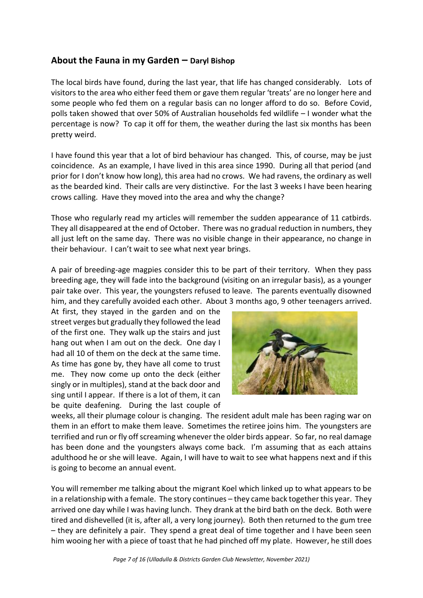## **About the Fauna in my Garden – Daryl Bishop**

The local birds have found, during the last year, that life has changed considerably. Lots of visitors to the area who either feed them or gave them regular 'treats' are no longer here and some people who fed them on a regular basis can no longer afford to do so. Before Covid, polls taken showed that over 50% of Australian households fed wildlife – I wonder what the percentage is now? To cap it off for them, the weather during the last six months has been pretty weird.

I have found this year that a lot of bird behaviour has changed. This, of course, may be just coincidence. As an example, I have lived in this area since 1990. During all that period (and prior for I don't know how long), this area had no crows. We had ravens, the ordinary as well as the bearded kind. Their calls are very distinctive. For the last 3 weeks I have been hearing crows calling. Have they moved into the area and why the change?

Those who regularly read my articles will remember the sudden appearance of 11 catbirds. They all disappeared at the end of October. There was no gradual reduction in numbers, they all just left on the same day. There was no visible change in their appearance, no change in their behaviour. I can't wait to see what next year brings.

A pair of breeding-age magpies consider this to be part of their territory. When they pass breeding age, they will fade into the background (visiting on an irregular basis), as a younger pair take over. This year, the youngsters refused to leave. The parents eventually disowned him, and they carefully avoided each other. About 3 months ago, 9 other teenagers arrived.

At first, they stayed in the garden and on the street verges but gradually they followed the lead of the first one. They walk up the stairs and just hang out when I am out on the deck. One day I had all 10 of them on the deck at the same time. As time has gone by, they have all come to trust me. They now come up onto the deck (either singly or in multiples), stand at the back door and sing until I appear. If there is a lot of them, it can be quite deafening. During the last couple of



weeks, all their plumage colour is changing. The resident adult male has been raging war on them in an effort to make them leave. Sometimes the retiree joins him. The youngsters are terrified and run or fly off screaming whenever the older birds appear. So far, no real damage has been done and the youngsters always come back. I'm assuming that as each attains adulthood he or she will leave. Again, I will have to wait to see what happens next and if this is going to become an annual event.

You will remember me talking about the migrant Koel which linked up to what appears to be in a relationship with a female. The story continues – they came back together this year. They arrived one day while I was having lunch. They drank at the bird bath on the deck. Both were tired and dishevelled (it is, after all, a very long journey). Both then returned to the gum tree – they are definitely a pair. They spend a great deal of time together and I have been seen him wooing her with a piece of toast that he had pinched off my plate. However, he still does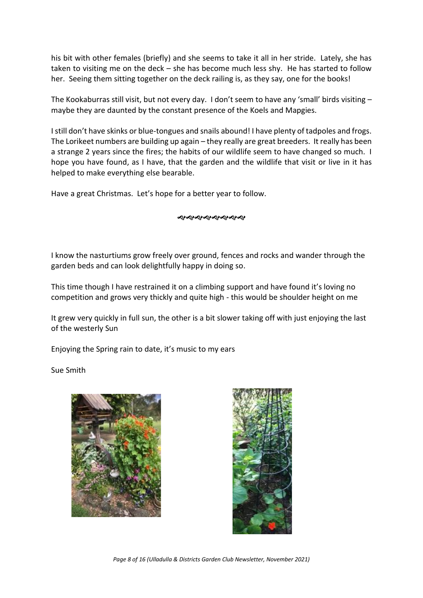his bit with other females (briefly) and she seems to take it all in her stride. Lately, she has taken to visiting me on the deck – she has become much less shy. He has started to follow her. Seeing them sitting together on the deck railing is, as they say, one for the books!

The Kookaburras still visit, but not every day. I don't seem to have any 'small' birds visiting – maybe they are daunted by the constant presence of the Koels and Mapgies.

I still don't have skinks or blue-tongues and snails abound! I have plenty of tadpoles and frogs. The Lorikeet numbers are building up again – they really are great breeders. It really has been a strange 2 years since the fires; the habits of our wildlife seem to have changed so much. I hope you have found, as I have, that the garden and the wildlife that visit or live in it has helped to make everything else bearable.

Have a great Christmas. Let's hope for a better year to follow.

#### ଶ**ଏକଶ୍ୟକର୍**ଶ୍ୟ

I know the nasturtiums grow freely over ground, fences and rocks and wander through the garden beds and can look delightfully happy in doing so.

This time though I have restrained it on a climbing support and have found it's loving no competition and grows very thickly and quite high - this would be shoulder height on me

It grew very quickly in full sun, the other is a bit slower taking off with just enjoying the last of the westerly Sun

Enjoying the Spring rain to date, it's music to my ears

Sue Smith





*Page 8 of 16 (Ulladulla & Districts Garden Club Newsletter, November 2021)*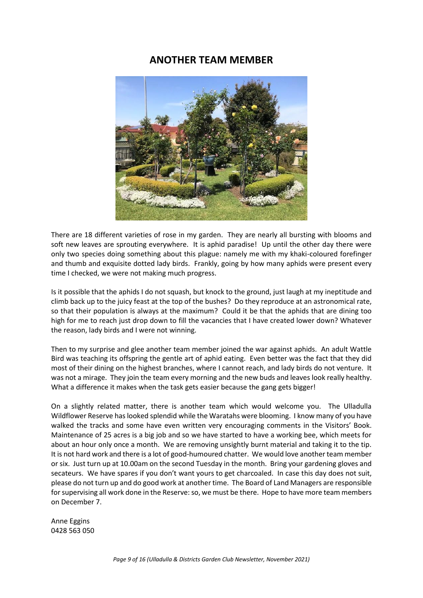## **ANOTHER TEAM MEMBER**



There are 18 different varieties of rose in my garden. They are nearly all bursting with blooms and soft new leaves are sprouting everywhere. It is aphid paradise! Up until the other day there were only two species doing something about this plague: namely me with my khaki-coloured forefinger and thumb and exquisite dotted lady birds. Frankly, going by how many aphids were present every time I checked, we were not making much progress.

Is it possible that the aphids I do not squash, but knock to the ground, just laugh at my ineptitude and climb back up to the juicy feast at the top of the bushes? Do they reproduce at an astronomical rate, so that their population is always at the maximum? Could it be that the aphids that are dining too high for me to reach just drop down to fill the vacancies that I have created lower down? Whatever the reason, lady birds and I were not winning.

Then to my surprise and glee another team member joined the war against aphids. An adult Wattle Bird was teaching its offspring the gentle art of aphid eating. Even better was the fact that they did most of their dining on the highest branches, where I cannot reach, and lady birds do not venture. It was not a mirage. They join the team every morning and the new buds and leaves look really healthy. What a difference it makes when the task gets easier because the gang gets bigger!

On a slightly related matter, there is another team which would welcome you. The Ulladulla Wildflower Reserve has looked splendid while the Waratahs were blooming. I know many of you have walked the tracks and some have even written very encouraging comments in the Visitors' Book. Maintenance of 25 acres is a big job and so we have started to have a working bee, which meets for about an hour only once a month. We are removing unsightly burnt material and taking it to the tip. It is not hard work and there is a lot of good-humoured chatter. We would love another team member or six. Just turn up at 10.00am on the second Tuesday in the month. Bring your gardening gloves and secateurs. We have spares if you don't want yours to get charcoaled. In case this day does not suit, please do not turn up and do good work at another time. The Board of Land Managers are responsible for supervising all work done in the Reserve: so, we must be there. Hope to have more team members on December 7.

Anne Eggins 0428 563 050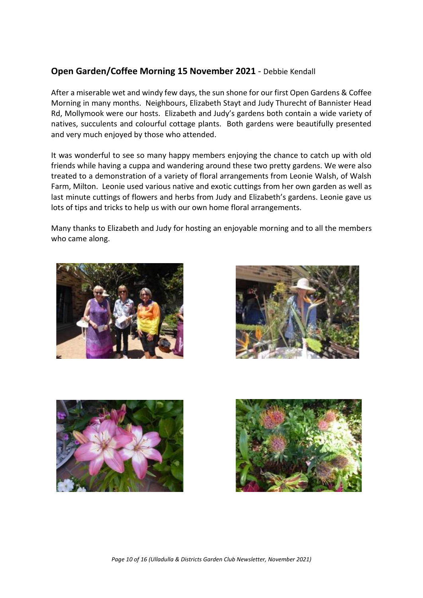## **Open Garden/Coffee Morning 15 November 2021** - Debbie Kendall

After a miserable wet and windy few days, the sun shone for our first Open Gardens & Coffee Morning in many months. Neighbours, Elizabeth Stayt and Judy Thurecht of Bannister Head Rd, Mollymook were our hosts. Elizabeth and Judy's gardens both contain a wide variety of natives, succulents and colourful cottage plants. Both gardens were beautifully presented and very much enjoyed by those who attended.

It was wonderful to see so many happy members enjoying the chance to catch up with old friends while having a cuppa and wandering around these two pretty gardens. We were also treated to a demonstration of a variety of floral arrangements from Leonie Walsh, of Walsh Farm, Milton. Leonie used various native and exotic cuttings from her own garden as well as last minute cuttings of flowers and herbs from Judy and Elizabeth's gardens. Leonie gave us lots of tips and tricks to help us with our own home floral arrangements.

Many thanks to Elizabeth and Judy for hosting an enjoyable morning and to all the members who came along.







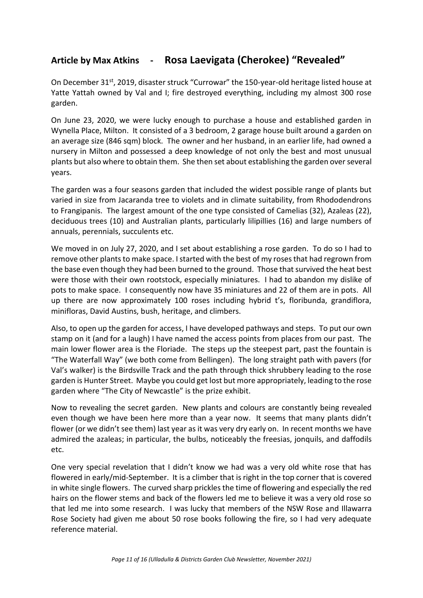# **Article by Max Atkins - Rosa Laevigata (Cherokee) "Revealed"**

On December 31st, 2019, disaster struck "Currowar" the 150-year-old heritage listed house at Yatte Yattah owned by Val and I; fire destroyed everything, including my almost 300 rose garden.

On June 23, 2020, we were lucky enough to purchase a house and established garden in Wynella Place, Milton. It consisted of a 3 bedroom, 2 garage house built around a garden on an average size (846 sqm) block. The owner and her husband, in an earlier life, had owned a nursery in Milton and possessed a deep knowledge of not only the best and most unusual plants but also where to obtain them. She then set about establishing the garden over several years.

The garden was a four seasons garden that included the widest possible range of plants but varied in size from Jacaranda tree to violets and in climate suitability, from Rhododendrons to Frangipanis. The largest amount of the one type consisted of Camelias (32), Azaleas (22), deciduous trees (10) and Australian plants, particularly lilipillies (16) and large numbers of annuals, perennials, succulents etc.

We moved in on July 27, 2020, and I set about establishing a rose garden. To do so I had to remove other plants to make space. I started with the best of my roses that had regrown from the base even though they had been burned to the ground. Those that survived the heat best were those with their own rootstock, especially miniatures. I had to abandon my dislike of pots to make space. I consequently now have 35 miniatures and 22 of them are in pots. All up there are now approximately 100 roses including hybrid t's, floribunda, grandiflora, minifloras, David Austins, bush, heritage, and climbers.

Also, to open up the garden for access, I have developed pathways and steps. To put our own stamp on it (and for a laugh) I have named the access points from places from our past. The main lower flower area is the Floriade. The steps up the steepest part, past the fountain is "The Waterfall Way" (we both come from Bellingen). The long straight path with pavers (for Val's walker) is the Birdsville Track and the path through thick shrubbery leading to the rose garden is Hunter Street. Maybe you could get lost but more appropriately, leading to the rose garden where "The City of Newcastle" is the prize exhibit.

Now to revealing the secret garden. New plants and colours are constantly being revealed even though we have been here more than a year now. It seems that many plants didn't flower (or we didn't see them) last year as it was very dry early on. In recent months we have admired the azaleas; in particular, the bulbs, noticeably the freesias, jonquils, and daffodils etc.

One very special revelation that I didn't know we had was a very old white rose that has flowered in early/mid-September. It is a climber that is right in the top corner that is covered in white single flowers. The curved sharp prickles the time of flowering and especially the red hairs on the flower stems and back of the flowers led me to believe it was a very old rose so that led me into some research. I was lucky that members of the NSW Rose and Illawarra Rose Society had given me about 50 rose books following the fire, so I had very adequate reference material.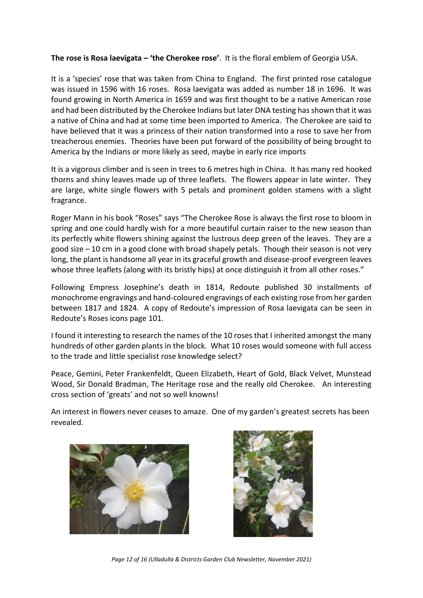**The rose is Rosa laevigata – 'the Cherokee rose'**. It is the floral emblem of Georgia USA.

It is a 'species' rose that was taken from China to England. The first printed rose catalogue was issued in 1596 with 16 roses. Rosa laevigata was added as number 18 in 1696. It was found growing in North America in 1659 and was first thought to be a native American rose and had been distributed by the Cherokee Indians but later DNA testing has shown that it was a native of China and had at some time been imported to America. The Cherokee are said to have believed that it was a princess of their nation transformed into a rose to save her from treacherous enemies. Theories have been put forward of the possibility of being brought to America by the Indians or more likely as seed, maybe in early rice imports

It is a vigorous climber and is seen in trees to 6 metres high in China. It has many red hooked thorns and shiny leaves made up of three leaflets. The flowers appear in late winter. They are large, white single flowers with 5 petals and prominent golden stamens with a slight fragrance.

Roger Mann in his book "Roses" says "The Cherokee Rose is always the first rose to bloom in spring and one could hardly wish for a more beautiful curtain raiser to the new season than its perfectly white flowers shining against the lustrous deep green of the leaves. They are a good size – 10 cm in a good clone with broad shapely petals. Though their season is not very long, the plant is handsome all year in its graceful growth and disease-proof evergreen leaves whose three leaflets (along with its bristly hips) at once distinguish it from all other roses."

Following Empress Josephine's death in 1814, Redoute published 30 installments of monochrome engravings and hand-coloured engravings of each existing rose from her garden between 1817 and 1824. A copy of Redoute's impression of Rosa laevigata can be seen in Redoute's Roses icons page 101.

I found it interesting to research the names of the 10 roses that I inherited amongst the many hundreds of other garden plants in the block. What 10 roses would someone with full access to the trade and little specialist rose knowledge select?

Peace, Gemini, Peter Frankenfeldt, Queen Elizabeth, Heart of Gold, Black Velvet, Munstead Wood, Sir Donald Bradman, The Heritage rose and the really old Cherokee. An interesting cross section of 'greats' and not so well knowns!

An interest in flowers never ceases to amaze. One of my garden's greatest secrets has been revealed.





*Page 12 of 16 (Ulladulla & Districts Garden Club Newsletter, November 2021)*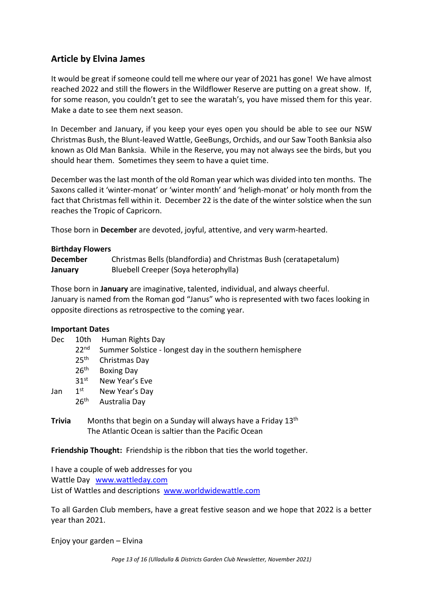## **Article by Elvina James**

It would be great if someone could tell me where our year of 2021 has gone! We have almost reached 2022 and still the flowers in the Wildflower Reserve are putting on a great show. If, for some reason, you couldn't get to see the waratah's, you have missed them for this year. Make a date to see them next season.

In December and January, if you keep your eyes open you should be able to see our NSW Christmas Bush, the Blunt-leaved Wattle, GeeBungs, Orchids, and our Saw Tooth Banksia also known as Old Man Banksia. While in the Reserve, you may not always see the birds, but you should hear them. Sometimes they seem to have a quiet time.

December was the last month of the old Roman year which was divided into ten months. The Saxons called it 'winter-monat' or 'winter month' and 'heligh-monat' or holy month from the fact that Christmas fell within it. December 22 is the date of the winter solstice when the sun reaches the Tropic of Capricorn.

Those born in **December** are devoted, joyful, attentive, and very warm-hearted.

#### **Birthday Flowers**

| <b>December</b> | Christmas Bells (blandfordia) and Christmas Bush (ceratapetalum) |
|-----------------|------------------------------------------------------------------|
| January         | Bluebell Creeper (Soya heterophylla)                             |

Those born in **January** are imaginative, talented, individual, and always cheerful. January is named from the Roman god "Janus" who is represented with two faces looking in opposite directions as retrospective to the coming year.

#### **Important Dates**

- Dec 10th Human Rights Day
	- 22<sup>nd</sup> Summer Solstice longest day in the southern hemisphere
	- 25<sup>th</sup> Christmas Day
	- 26<sup>th</sup> Boxing Day
	- 31st New Year's Eve
- Jan 1st New Year's Day
	- 26<sup>th</sup> Australia Day
- **Trivia** Months that begin on a Sunday will always have a Friday 13<sup>th</sup> The Atlantic Ocean is saltier than the Pacific Ocean

**Friendship Thought:** Friendship is the ribbon that ties the world together.

I have a couple of web addresses for you Wattle Day [www.wattleday.com](http://www.wattleday.com/) List of Wattles and descriptions [www.worldwidewattle.com](http://www.worldwidewattle.com/)

To all Garden Club members, have a great festive season and we hope that 2022 is a better year than 2021.

Enjoy your garden – Elvina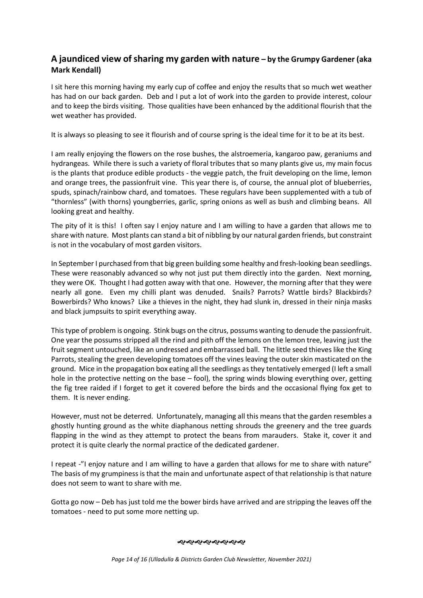## **A jaundiced view of sharing my garden with nature – by the Grumpy Gardener (aka Mark Kendall)**

I sit here this morning having my early cup of coffee and enjoy the results that so much wet weather has had on our back garden. Deb and I put a lot of work into the garden to provide interest, colour and to keep the birds visiting. Those qualities have been enhanced by the additional flourish that the wet weather has provided.

It is always so pleasing to see it flourish and of course spring is the ideal time for it to be at its best.

I am really enjoying the flowers on the rose bushes, the alstroemeria, kangaroo paw, geraniums and hydrangeas. While there is such a variety of floral tributes that so many plants give us, my main focus is the plants that produce edible products - the veggie patch, the fruit developing on the lime, lemon and orange trees, the passionfruit vine. This year there is, of course, the annual plot of blueberries, spuds, spinach/rainbow chard, and tomatoes. These regulars have been supplemented with a tub of "thornless" (with thorns) youngberries, garlic, spring onions as well as bush and climbing beans. All looking great and healthy.

The pity of it is this! I often say I enjoy nature and I am willing to have a garden that allows me to share with nature. Most plants can stand a bit of nibbling by our natural garden friends, but constraint is not in the vocabulary of most garden visitors.

In September I purchased from that big green building some healthy and fresh-looking bean seedlings. These were reasonably advanced so why not just put them directly into the garden. Next morning, they were OK. Thought I had gotten away with that one. However, the morning after that they were nearly all gone. Even my chilli plant was denuded. Snails? Parrots? Wattle birds? Blackbirds? Bowerbirds? Who knows? Like a thieves in the night, they had slunk in, dressed in their ninja masks and black jumpsuits to spirit everything away.

This type of problem is ongoing. Stink bugs on the citrus, possums wanting to denude the passionfruit. One year the possums stripped all the rind and pith off the lemons on the lemon tree, leaving just the fruit segment untouched, like an undressed and embarrassed ball. The little seed thieves like the King Parrots, stealing the green developing tomatoes off the vines leaving the outer skin masticated on the ground. Mice in the propagation box eating all the seedlings as they tentatively emerged (I left a small hole in the protective netting on the base – fool), the spring winds blowing everything over, getting the fig tree raided if I forget to get it covered before the birds and the occasional flying fox get to them. It is never ending.

However, must not be deterred. Unfortunately, managing all this means that the garden resembles a ghostly hunting ground as the white diaphanous netting shrouds the greenery and the tree guards flapping in the wind as they attempt to protect the beans from marauders. Stake it, cover it and protect it is quite clearly the normal practice of the dedicated gardener.

I repeat -"I enjoy nature and I am willing to have a garden that allows for me to share with nature" The basis of my grumpiness is that the main and unfortunate aspect of that relationship is that nature does not seem to want to share with me.

Gotta go now – Deb has just told me the bower birds have arrived and are stripping the leaves off the tomatoes - need to put some more netting up.

ややめややややや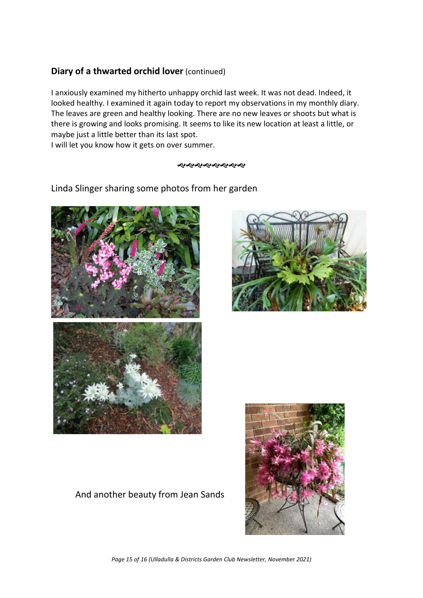## **Diary of a thwarted orchid lover** (continued)

I anxiously examined my hitherto unhappy orchid last week. It was not dead. Indeed, it looked healthy. I examined it again today to report my observations in my monthly diary. The leaves are green and healthy looking. There are no new leaves or shoots but what is there is growing and looks promising. It seems to like its new location at least a little, or maybe just a little better than its last spot.

I will let you know how it gets on over summer.

#### জ্ঞপ্র জ্ঞপ্র প্র প্র

Linda Slinger sharing some photos from her garden





# And another beauty from Jean Sands



*Page 15 of 16 (Ulladulla & Districts Garden Club Newsletter, November 2021)*